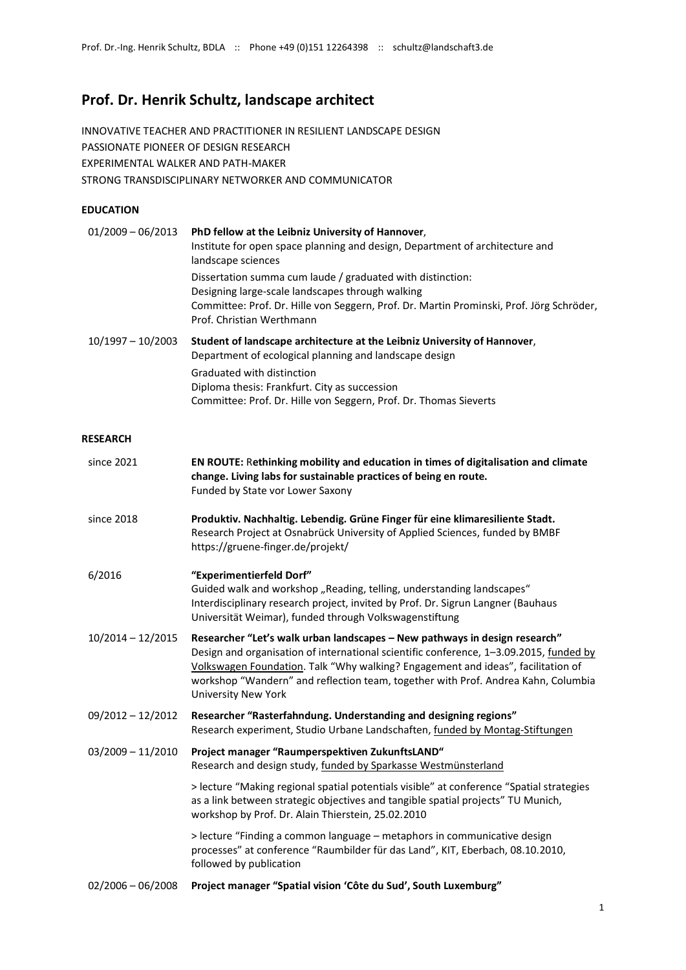# **Prof. Dr. Henrik Schultz, landscape architect**

INNOVATIVE TEACHER AND PRACTITIONER IN RESILIENT LANDSCAPE DESIGN PASSIONATE PIONEER OF DESIGN RESEARCH EXPERIMENTAL WALKER AND PATH-MAKER STRONG TRANSDISCIPLINARY NETWORKER AND COMMUNICATOR

## **EDUCATION**

| $01/2009 - 06/2013$ | PhD fellow at the Leibniz University of Hannover,<br>Institute for open space planning and design, Department of architecture and<br>landscape sciences                                                                                 |
|---------------------|-----------------------------------------------------------------------------------------------------------------------------------------------------------------------------------------------------------------------------------------|
|                     | Dissertation summa cum laude / graduated with distinction:<br>Designing large-scale landscapes through walking<br>Committee: Prof. Dr. Hille von Seggern, Prof. Dr. Martin Prominski, Prof. Jörg Schröder,<br>Prof. Christian Werthmann |
| $10/1997 - 10/2003$ | Student of landscape architecture at the Leibniz University of Hannover,<br>Department of ecological planning and landscape design<br>Graduated with distinction                                                                        |
|                     | Diploma thesis: Frankfurt. City as succession                                                                                                                                                                                           |

Committee: Prof. Dr. Hille von Seggern, Prof. Dr. Thomas Sieverts

## **RESEARCH**

| since 2021          | EN ROUTE: Rethinking mobility and education in times of digitalisation and climate<br>change. Living labs for sustainable practices of being en route.<br>Funded by State vor Lower Saxony                                                                                                                                                                                  |
|---------------------|-----------------------------------------------------------------------------------------------------------------------------------------------------------------------------------------------------------------------------------------------------------------------------------------------------------------------------------------------------------------------------|
| since 2018          | Produktiv. Nachhaltig. Lebendig. Grüne Finger für eine klimaresiliente Stadt.<br>Research Project at Osnabrück University of Applied Sciences, funded by BMBF<br>https://gruene-finger.de/projekt/                                                                                                                                                                          |
| 6/2016              | "Experimentierfeld Dorf"<br>Guided walk and workshop "Reading, telling, understanding landscapes"<br>Interdisciplinary research project, invited by Prof. Dr. Sigrun Langner (Bauhaus<br>Universität Weimar), funded through Volkswagenstiftung                                                                                                                             |
| 10/2014 - 12/2015   | Researcher "Let's walk urban landscapes - New pathways in design research"<br>Design and organisation of international scientific conference, 1-3.09.2015, funded by<br>Volkswagen Foundation. Talk "Why walking? Engagement and ideas", facilitation of<br>workshop "Wandern" and reflection team, together with Prof. Andrea Kahn, Columbia<br><b>University New York</b> |
| $09/2012 - 12/2012$ | Researcher "Rasterfahndung. Understanding and designing regions"<br>Research experiment, Studio Urbane Landschaften, funded by Montag-Stiftungen                                                                                                                                                                                                                            |
| $03/2009 - 11/2010$ | Project manager "Raumperspektiven ZukunftsLAND"<br>Research and design study, funded by Sparkasse Westmünsterland                                                                                                                                                                                                                                                           |
|                     | > lecture "Making regional spatial potentials visible" at conference "Spatial strategies<br>as a link between strategic objectives and tangible spatial projects" TU Munich,<br>workshop by Prof. Dr. Alain Thierstein, 25.02.2010                                                                                                                                          |
|                     | > lecture "Finding a common language - metaphors in communicative design<br>processes" at conference "Raumbilder für das Land", KIT, Eberbach, 08.10.2010,<br>followed by publication                                                                                                                                                                                       |
| $02/2006 - 06/2008$ | Project manager "Spatial vision 'Côte du Sud', South Luxemburg"                                                                                                                                                                                                                                                                                                             |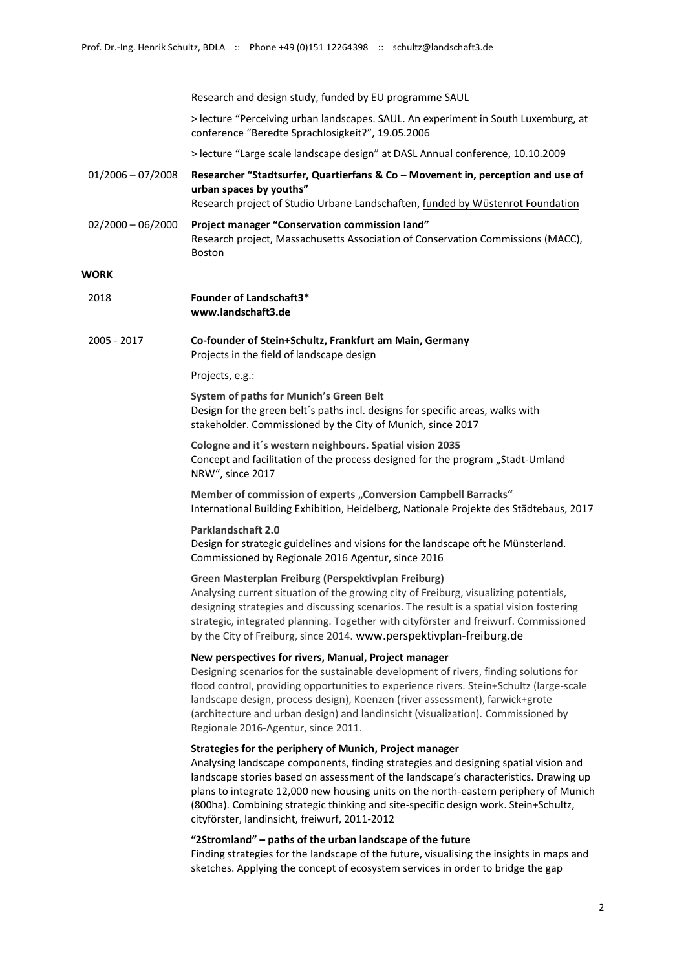Research and design study, funded by EU programme SAUL

> lecture "Perceiving urban landscapes. SAUL. An experiment in South Luxemburg, at conference "Beredte Sprachlosigkeit?", 19.05.2006

> lecture "Large scale landscape design" at DASL Annual conference, 10.10.2009

- 01/2006 07/2008 **Researcher "Stadtsurfer, Quartierfans & Co – Movement in, perception and use of urban spaces by youths"** Research project of Studio Urbane Landschaften, funded by Wüstenrot Foundation
- 02/2000 06/2000 **Project manager "Conservation commission land"** Research project, Massachusetts Association of Conservation Commissions (MACC), Boston

## **WORK**

| 2018 | <b>Founder of Landschaft3*</b> |
|------|--------------------------------|
|      | www.landschaft3.de             |

2005 - 2017 **Co-founder of Stein+Schultz, Frankfurt am Main, Germany** Projects in the field of landscape design

#### Projects, e.g.:

**System of paths for Munich's Green Belt**  Design for the green belt´s paths incl. designs for specific areas, walks with stakeholder. Commissioned by the City of Munich, since 2017

**Cologne and it´s western neighbours. Spatial vision 2035** Concept and facilitation of the process designed for the program "Stadt-Umland NRW", since 2017

**Member of commission of experts "Conversion Campbell Barracks"** International Building Exhibition, Heidelberg, Nationale Projekte des Städtebaus, 2017

#### **Parklandschaft 2.0**

Design for strategic guidelines and visions for the landscape oft he Münsterland. Commissioned by Regionale 2016 Agentur, since 2016

#### **Green Masterplan Freiburg (Perspektivplan Freiburg)**

Analysing current situation of the growing city of Freiburg, visualizing potentials, designing strategies and discussing scenarios. The result is a spatial vision fostering strategic, integrated planning. Together with cityförster and freiwurf. Commissioned by the City of Freiburg, since 2014. www.perspektivplan-freiburg.de

#### **New perspectives for rivers, Manual, Project manager**

Designing scenarios for the sustainable development of rivers, finding solutions for flood control, providing opportunities to experience rivers. Stein+Schultz (large-scale landscape design, process design), Koenzen (river assessment), farwick+grote (architecture and urban design) and landinsicht (visualization). Commissioned by Regionale 2016-Agentur, since 2011.

#### **Strategies for the periphery of Munich, Project manager**

Analysing landscape components, finding strategies and designing spatial vision and landscape stories based on assessment of the landscape's characteristics. Drawing up plans to integrate 12,000 new housing units on the north-eastern periphery of Munich (800ha). Combining strategic thinking and site-specific design work. Stein+Schultz, cityförster, landinsicht, freiwurf, 2011-2012

### **"2Stromland" – paths of the urban landscape of the future**

Finding strategies for the landscape of the future, visualising the insights in maps and sketches. Applying the concept of ecosystem services in order to bridge the gap